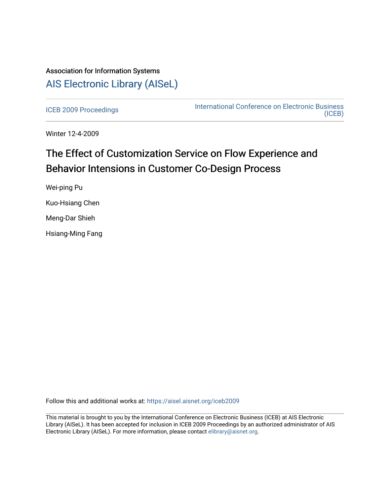# Association for Information Systems [AIS Electronic Library \(AISeL\)](https://aisel.aisnet.org/)

[ICEB 2009 Proceedings](https://aisel.aisnet.org/iceb2009) **International Conference on Electronic Business** [\(ICEB\)](https://aisel.aisnet.org/iceb) 

Winter 12-4-2009

# The Effect of Customization Service on Flow Experience and Behavior Intensions in Customer Co-Design Process

Wei-ping Pu Kuo-Hsiang Chen Meng-Dar Shieh Hsiang-Ming Fang

Follow this and additional works at: [https://aisel.aisnet.org/iceb2009](https://aisel.aisnet.org/iceb2009?utm_source=aisel.aisnet.org%2Ficeb2009%2F26&utm_medium=PDF&utm_campaign=PDFCoverPages)

This material is brought to you by the International Conference on Electronic Business (ICEB) at AIS Electronic Library (AISeL). It has been accepted for inclusion in ICEB 2009 Proceedings by an authorized administrator of AIS Electronic Library (AISeL). For more information, please contact [elibrary@aisnet.org.](mailto:elibrary@aisnet.org%3E)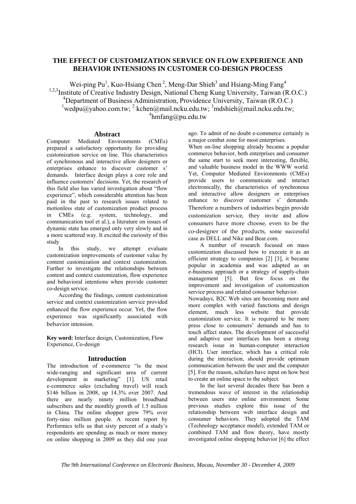### **THE EFFECT OF CUSTOMIZATION SERVICE ON FLOW EXPERIENCE AND BEHAVIOR INTENSIONS IN CUSTOMER CO-DESIGN PROCESS**

Wei-ping  $Pu<sup>1</sup>$ , Kuo-Hsiang Chen<sup>2</sup>, Meng-Dar Shieh<sup>3</sup> and Hsiang-Ming Fang<sup>4</sup> <sup>1,2,3</sup>Institute of Creative Industry Design, National Cheng Kung University, Taiwan (R.O.C.) 4 Department of Business Administration, Providence University, Taiwan (R.O.C.)  $\frac{1}{2}$ wedpu@yahoo.com.tw;  $\frac{2}{3}$ kchen@mail.ncku.edu.tw;  $\frac{3}{3}$ mdshieh@mail.ncku.edu.tw;  $4$ hmfang@pu.edu.tw

#### **Abstract**

Computer Mediated Environments (CMEs) prepared a satisfactory opportunity for providing customization service on line. This characteristics of synchronous and interactive allow designers or enterprises enhance to discover customer s' demands. Interface design plays a core role and influence customers' decisions. Yet, the research of this field also has varied investigation about "flow experience", which considerable attention has been paid in the past to research issues related to motionless state of customization product process in CMEs (e.g. system, technology, and communication tool et al.), a literature on issues of dynamic state has emerged only very slowly and in a more scattered way. It excited the curiosity of this study

In this study, we attempt evaluate customization improvements of customer value by content customization and context customization. Further to investigate the relationships between content and context customization, flow experience and behavioral intentions when provide customer co-design service.

According the findings, content customization service and context customization service provided enhanced the flow experience occur. Yet, the flow experience was significantly associated with behavior intension.

**Key word:** Interface design, Customization, Flow Experience, Co-design

#### **Introduction**

The introduction of e-commerce "is the most wide-ranging and significant area of current development in marketing" [1]. US retail e-commerce sales (excluding travel) will reach \$146 billion in 2008, up 14.3% over 2007. And there are nearly ninety million broadband subscribers and the monthly growth of 1.5 million in China. The online shopper grew 79% over forty-nine million people. A recent report by Performics tells us that sixty percent of a study's respondents are spending as much or more money on online shopping in 2009 as they did one year ago. To admit of no doubt e-commerce certainly is a major combat zone for most enterprises.

When on-line shopping already became a popular commerce behavior, both enterprises and consumer the same start to seek more interesting, flexible, and valuable business model in the WWW world. Yet, Computer Mediated Environments (CMEs) provide users to communicate and interact electronically, the characteristics of synchronous and interactive allow designers or enterprises enhance to discover customer s' demands. Therefore a numbers of industries begin provide customization service, they invite and allow consumers have more choose, even to be the co‐designer of the products, some successful case as DELL and Nike and Bear.com.

A number of research focused on mass customization discussed how to execute it as an efficient strategy to companies [2] [3], it became popular in academia and was adapted as an e-business approach or a strategy of supply-chain management [5]. But few focus on the improvement and investigation of customization service process and related consumer behavior.

Nowadays, B2C Web sites are becoming more and more complex with varied functions and design element, much less website that provide customization service. It is required to be more press close to consumers' demands and has to touch affect states. The development of successful and adaptive user interfaces has been a strong research issue in human-computer interaction (HCI). User interface, which has a critical role during the interaction, should provide optimum communication between the user and the computer [5]. For the reason, scholars have input on how best to create an online space to the subject.

In the last several decades there has been a tremendous wave of interest in the relationship between users into online environment. Some previous studies explore this issue of the relationship between web interface design and consumer behaviors. They adopted the TAM (Technology acceptance model), extended TAM or combined TAM and flow theory, have mostly investigated online shopping behavior [6] the effect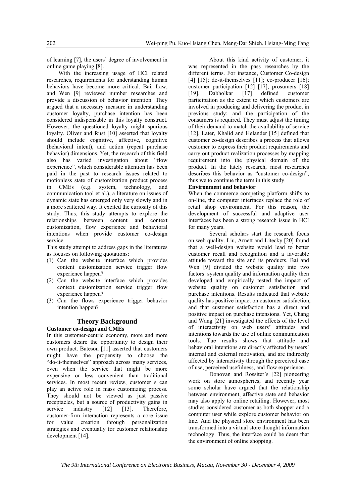of learning [7], the users' degree of involvement in online game playing [8].

With the increasing usage of HCI related researches, requirements for understanding human behaviors have become more critical. Bai, Law, and Wen [9] reviewed number researches and provide a discussion of behavior intention. They argued that a necessary measure in understanding customer loyalty, purchase intention has been considered indispensable in this loyalty construct. However, the questioned loyalty might spurious loyalty. Oliver and Rust [10] asserted that loyalty should include cognitive, affective, cognitive (behavioral intent), and action (repeat purchase behavior) dimensions. Yet, the research of this field also has varied investigation about "flow experience", which considerable attention has been paid in the past to research issues related to motionless state of customization product process in CMEs (e.g. system, technology, and communication tool et al.), a literature on issues of dynamic state has emerged only very slowly and in a more scattered way. It excited the curiosity of this study. Thus, this study attempts to explore the relationships between content and context customization, flow experience and behavioral intentions when provide customer co-design service.

This study attempt to address gaps in the literatures as focuses on following quotations:

- (1) Can the website interface which provides content customization service trigger flow experience happen?
- (2) Can the website interface which provides context customization service trigger flow experience happen?
- (3) Can the flows experience trigger behavior intention happen?

## **Theory Background**

#### **Customer co-design and CMEs**

In this customer-centric economy, more and more customers desire the opportunity to design their own product. Bateson [11] asserted that customers might have the propensity to choose the "do-it-themselves" approach across many services, even when the service that might be more expensive or less convenient than traditional services. In most recent review, customer s can play an active role in mass customizing process. They should not be viewed as just passive receptacles, but a source of productivity gains in service industry [12] [13]. Therefore, customer-firm interaction represents a core issue for value creation through personalization strategies and eventually for customer relationship development [14].

About this kind activity of customer, it was represented in the pass researches by the different terms. For instance, Customer Co-design [4]  $[15]$ ; do-it-themselves  $[11]$ ; co-producer  $[16]$ ; customer participation [12] [17]; prosumers [18] [19]. Dabholkar [17] defined customer participation as the extent to which customers are involved in producing and delivering the product in previous study; and the participation of the consumers is required. They must adjust the timing of their demand to match the availability of service [12]. Later, Khalid and Helander [15] defined that customer co-design describes a process that allows customer to express their product requirements and carry out product realization processes by mapping requirement into the physical domain of the product. In the lately research, most researches describes this behavior as "customer co-design", thus we to continue the term in this study.

#### **Environment and behavior**

When the commerce competing platform shifts to on-line, the computer interfaces replace the role of retail shop environment. For this reason, the development of successful and adaptive user interfaces has been a strong research issue in HCI for many years.

Several scholars start the research focus on web quality. Liu, Arnett and Litecky [20] found that a well-design website would lead to better customer recall and recognition and a favorable attitude toward the site and its products. Bai and Wen [9] divided the website quality into two factors: system quality and information quality then developed and empirically tested the impact of website quality on customer satisfaction and purchase intentions. Results indicated that website quality has positive impact on customer satisfaction, and that customer satisfaction has a direct and positive impact on purchase intensions. Yet, Chang and Wang [21] investigated the effects of the level of interactivity on web users' attitudes and intentions towards the use of online communication tools. Tue results shows that attitude and behavioral intentions are directly affected by users' internal and external motivation, and are indirectly affected by interactivity through the perceived ease of use, perceived usefulness, and flow experience.

Donovan and Rossiter's [22] pioneering work on store atmospherics, and recently year some scholar have argued that the relationship between environment, affective state and behavior may also apply to online retailing. However, most studies considered customer as both shopper and a computer user while explore customer behavior on line. And the physical store environment has been transformed into a virtual store thought information technology. Thus, the interface could be deem that the environment of online shopping.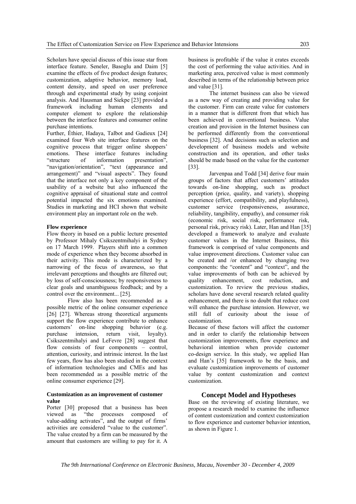Scholars have special discuss of this issue star from interface feature. Seneler, Basoglu and Daim [5] examine the effects of five product design features; customization, adaptive behavior, memory load, content density, and speed on user preference through and experimental study by using conjoint analysis. And Hausman and Siekpe [23] provided a framework including human elements and computer element to explore the relationship between the interface features and consumer online purchase intentions.

Further, Éthier, Hadaya, Talbot and Gadieux [24] examined four Web site interface features on the cognitive process that trigger online shoppers' emotions. These interface features including "structure of information presentation", "navigation/orientation", "text (appearance and arrangement)" and "visual aspects". They found that the interface not only a key component of the usability of a website but also influenced the cognitive appraisal of situational state and control potential impacted the six emotions examined. Studies in marketing and HCI shown that website environment play an important role on the web.

#### **Flow experience**

Flow theory in based on a public lecture presented by Professor Mihaly Csikszentmihalyi in Sydney on 17 March 1999. Players shift into a common mode of experience when they become absorbed in their activity. This mode is characterized by a narrowing of the focus of awareness, so that irrelevant perceptions and thoughts are filtered out; by loss of self-consciousness; by responsiveness to clear goals and unambiguous feedback; and by a control over the environment... [25].

Flow also has been recommended as a possible metric of the online consumer experience [26] [27]. Whereas strong theoretical arguments support the flow experience contribute to enhance customers' on-line shopping behavior (e.g. purchase intension, return visit, loyalty). Csikszentmihalyi and LeFevre [28] suggest that flow consists of four components – control, attention, curiosity, and intrinsic interest. In the last few years, flow has also been studied in the context of information technologies and CMEs and has been recommended as a possible metric of the online consumer experience [29].

#### **Customization as an improvement of customer value**

Porter [30] proposed that a business has been viewed as "the processes composed of value-adding activates", and the output of firms' activities are considered "value to the customer". The value created by a firm can be measured by the amount that customers are willing to pay for it. A

business is profitable if the value it crates exceeds the cost of performing the value activities. And in marketing area, perceived value is most commonly described in terms of the relationship between price and value [31].

The internet business can also be viewed as a new way of creating and providing value for the customer. Firm can create value for customers in a manner that is different from that which has been achieved in conventional business. Value creation and provision in the Internet business can be performed differently from the conventional business [32]. And decisions such as selection and development of business models and website construction and its operation, and other tasks should be made based on the value for the customer [33].

Jarvenpaa and Todd [34] derive four main groups of factors that affect customers' attitudes towards on-line shopping, such as product perception (price, quality, and variety), shopping experience (effort, compatibility, and playfulness), customer service (responsiveness, assurance, reliability, tangibility, empathy), and consumer risk (economic risk, social risk, performance risk, personal risk, privacy risk). Later, Han and Han [35] developed a framework to analyze and evaluate customer values in the Internet Business, this framework is comprised of value components and value improvement directions. Customer value can be created and /or enhanced by changing two components: the "content" and "context", and the value improvements of both can be achieved by quality enhancement, cost reduction, and customization. To review the previous studies, scholars have done several research related quality enhancement, and there is no doubt that reduce cost will enhance the purchase intension. However, we still full of curiosity about the issue of customization.

Because of these factors will affect the customer and in order to clarify the relationship between customization improvements, flow experience and behavioral intention when provide customer co-design service. In this study, we applied Han and Han's [35] framework to be the basis, and evaluate customization improvements of customer value by content customization and context customization.

#### **Concept Model and Hypotheses**

Base on the reviewing of existing literature, we propose a research model to examine the influence of content customization and context customization to flow experience and customer behavior intention, as shown in Figure 1.

*The 9th International Conference on Electronic Business, Macau, November 30 - December 4, 2009*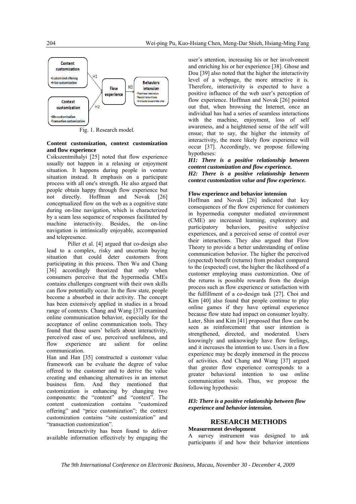

Fig. 1. Research model.

#### **Content customization, context customization and flow experience**

Csikszentmihalyi [25] noted that flow experience usually not happen in a relaxing or enjoyment situation. It happens during people in venture situation instead. It emphasis on a participate process with all one's strength. He also argued that people obtain happy through flow experience but not directly. Hoffman and Novak [26] conceptualized flow on the web as a cognitive state during on-line navigation, which is characterized by a seam less sequence of responses facilitated by machine interactivity. Besides, the on-line navigation is intrinsically enjoyable, accompanied and telepresence.

Piller et al. [4] argued that co-design also lead to a complex, risky and uncertain buying situation that could deter customers from participating in this process. Then Wu and Chang [36] accordingly theorized that only when consumers perceive that the hypermedia CMEs contains challenges congruent with their own skills can flow potentially occur. In the flow state, people become a absorbed in their activity. The concept has been extensively applied in studies in a broad range of contexts. Chang and Wang [37] examined online communication behavior, especially for the acceptance of online communication tools. They found that those users' beliefs about interactivity, perceived ease of use, perceived usefulness, and flow experience are salient for online communication.

Han and Han [35] constructed a customer value framework can be evaluate the degree of value offered to the customer and to derive the value creating and enhancing alternatives in an internet business firm. And they mentioned that customization is enhancing by changing two components: the "content" and "context". The content customization contains "customized offering" and "price customization"; the context customization contains "site customization" and "transaction customization".

Interactivity has been found to deliver available information effectively by engaging the

user's attention, increasing his or her involvement and enriching his or her experience [38]. Ghose and Dou [39] also noted that the higher the interactivity level of a webpage, the more attractive it is. Therefore, interactivity is expected to have a positive influence of the web user's perception of flow experience. Hoffman and Novak [26] pointed out that, when browsing the Internet, once an individual has had a series of seamless interactions with the machine, enjoyment, loss of self awareness, and a heightened sense of the self will ensue; that to say, the higher the intensity of interactivity, the more likely flow experience will occur [37]. Accordingly, we propose following hypotheses:

#### *H1: There is a positive relationship between content customization and flow experience.*

*H2: There is a positive relationship between context customization value and flow experience.*

#### **Flow experience and behavior intension**

Hoffman and Novak [26] indicated that key consequences of the flow experience for customers in hypermedia computer mediated environment (CME) are increased learning, exploratory and participatory behaviors, positive subjective experiences, and a perceived sense of control over their interactions. They also argued that Flow Theory to provide a better understanding of online communication behavior. The higher the perceived (expected) benefit (returns) from product compared to the (expected) cost, the higher the likelihood of a customer employing mass customization. One of the returns is possible rewards from the design process such as flow experience or satisfaction with the fulfillment of a co-design task [27]. Choi and Kim [40] also found that people continue to play online games if they have optimal experience because flow state had impact on consumer loyalty. Later, Shin and Kim [41] proposed that flow can be seen as reinforcement that user intention is strengthened, directed, and moderated. Users knowingly and unknowingly have flow feelings, and it increases the intention to use. Users in a flow experience may be deeply immersed in the process of activities. And Chang and Wang [37] argued that greater flow experience corresponds to a greater behavioral intention to use online communication tools. Thus, we propose the following hypothesis:

#### *H3: There is a positive relationship between flow experience and behavior intension.*

#### **RESEARCH METHODS**

#### **Measurement development**

A survey instrument was designed to ask participants if and how their behavior intentions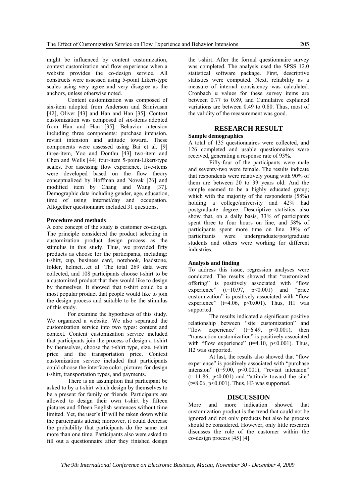might be influenced by content customization, context customization and flow experience when a website provides the co-design service. All constructs were assessed using 5-point Likert-type scales using very agree and very disagree as the anchors, unless otherwise noted.

Content customization was composed of six-item adopted from Anderson and Srinivasan [42], Oliver [43] and Han and Han [35]. Context customization was composed of six-items adopted from Han and Han [35]. Behavior intension including three components: purchase intension, revisit intension and attitude toward. These components were assessed using Bai et al. [9] three-item, Yoo and Donthu [43] two-item and Chen and Wells [44] four-item 5-point-Likert-type scales. For assessing flow experience, five-items were developed based on the flow theory conceptualized by Hoffman and Novak [26] and modified item by Chang and Wang [37]. Demographic data including gender, age, education, time of using internet/day and occupation. Altogether questionnaire included 31 questions.

#### **Procedure and methods**

A core concept of the study is customer co-design. The principle considered the product selecting in customization product design process as the stimulus in this study. Thus, we provided fifty products as choose for the participants, including: t-shirt, cup, business card, notebook, loadstone, folder, helmet…et al. The total 269 data were collected, and 108 participants choose t-shirt to be a customized product that they would like to design by themselves. It showed that t-shirt could be a most popular product that people would like to join the design process and suitable to be the stimulus of this study.

For examine the hypotheses of this study. We organized a website. We also separated the customization service into two types: content and context. Content customization service included that participants join the process of design a t-shirt by themselves, choose the t-shirt type, size, t-shirt price and the transportation price. Context customization service included that participants could choose the interface color, pictures for design t-shirt, transportation types, and payments.

There is an assumption that participant be asked to by a t-shirt which design by themselves to be a present for family or friends. Participants are allowed to design their own t-shirt by fifteen pictures and fifteen English sentences without time limited. Yet, the user's IP will be taken down while the participants attend; moreover, it could decrease the probability that participants do the same test more than one time. Participants also were asked to fill out a questionnaire after they finished design

the t-shirt. After the formal questionnaire survey was completed. The analysis used the SPSS 12.0 statistical software package. First, descriptive statistics were computed. Next, reliability as a measure of internal consistency was calculated. Cronbach  $\alpha$  values for these survey items are between 0.77 to 0.89, and Cumulative explained variations are between 0.49 to 0.80. Thus, most of the validity of the measurement was good.

#### **RESEARCH RESULT**

#### **Sample demographics**

A total of 135 questionnaires were collected, and 126 completed and usable questionnaires were received, generating a response rate of 93%.

Fifty-four of the participants were male and seventy-two were female. The results indicate that respondents were relatively young with 90% of them are between 20 to 39 years old. And the sample seemed to be a highly educated group; which with the majority of the respondents (58%) holding a college/university and 42% had postgraduate degree. Descriptive statistics also show that, on a daily basis, 33% of participants spent three to four hours on line, and 58% of participants spent more time on line. 38% of participants were undergraduate/postgraduate students and others were working for different industries.

#### **Analysis and finding**

To address this issue, regression analyses were conducted. The results showed that "customized offering" is positively associated with "flow experience"  $(t=10.97, p<0.001)$  and "price customization" is positively associated with "flow experience" ( $t=4.06$ ,  $p<0.001$ ). Thus, H1 was supported.

The results indicated a significant positive relationship between "site customization" and "flow experience"  $(t=6.49, p<0.001)$ , then "transaction customization" is positively associated with "flow experience" ( $t=4.10$ ,  $p<0.001$ ). Thus, H2 was supported.

At last, the results also showed that "flow experience" is positively associated with "purchase intension" (t=9.00, p<0.001), "revisit intension"  $(t=11.86, p<0.001)$  and "attitude toward the site"  $(t=8.06, p<0.001)$ . Thus, H3 was supported.

#### **DISCUSSION**

More and more indication showed that customization product is the trend that could not be ignored and not only products but also he process should be considered. However, only little research discusses the role of the customer within the co-design process [45] [4].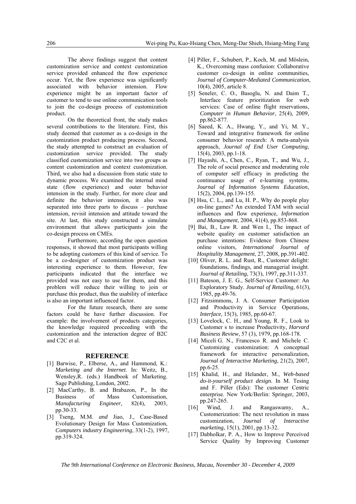The above findings suggest that content customization service and context customization service provided enhanced the flow experience occur. Yet, the flow experience was significantly associated with behavior intension. Flow experience might be an important factor of customer to tend to use online communication tools to join the co-design process of customization product.

On the theoretical front, the study makes several contributions to the literature. First, this study deemed that customer as a co-design in the customization product producing process. Second, the study attempted to construct an evaluation of customization service provided. The study classified customization service into two groups as content customization and context customization. Third, we also had a discussion from static state to dynamic process. We examined the internal mind state (flow experience) and outer behavior intension in the study. Further, for more clear and definite the behavior intension, it also was separated into three parts to discuss – purchase intension, revisit intension and attitude toward the site. At last, this study constructed a simulate environment that allows participants join the co-design process on CMEs.

Furthermore, according the open question responses, it showed that most participants willing to be adopting customers of this kind of service. To be a co-designer of customization product was interesting experience to them. However, few participants indicated that the interface we provided was not easy to use for them, and this problem will reduce their willing to join or purchase this product, thus the usability of interface is also an important influenced factor.

For the future research, there are some factors could be have further discussion. For example: the involvement of products categories, the knowledge required proceeding with the customization and the interaction degree of B2C and C2C et al.

#### **REFERENCE**

- [1] Barwise, P., Elberse, A., and Hammond, K.: *Marketing and the Internet*. In: Weitz, B., Wensley,R. (eds.) Handbook of Marketing. Sage Publishing, London, 2002.
- [2] MacCarthy, B. and Brabazon, P., In the Business of Mass Customisation, *Manufacturing Engineer*, 82(4), 2003, pp.30-33.
- [3] Tseng, M.M. *and* Jiao, J., Case-Based Evolutionary Design for Mass Customization, *Computers industry Engineering*, 33(1-2), 1997, pp.319-324.
- [4] Piller, F., Schubert, P., Koch, M. and Möslein, K., Overcoming mass confusion: Collaborative customer co-design in online communities, *Journal of Computer-Mediated Communication*, 10(4), 2005, article 8.
- [5] Seneler, C. O., Basoglu, N. and Daim T., Interface feature prioritization for web services: Case of online flight reservations, *Computer in Human Behavior*, 25(4), 2009, pp.862-877.
- [6] Saeed, K. A., Hwang, Y., and Yi, M. Y., Toward and integrative framework for online consumer behavior research: A meta-analysis approach, *Journal of End User Computing*, 15(4), 2003, pp.1-18.
- [7] Hayashi, A., Chen, C., Ryan, T., and Wu, J., The role of social presence and moderating role of computer self efficacy in predicting the continuance usage of e-learning systems, *Journal of Information Systems Education*, 15(2), 2004, pp.139-155.
- [8] Hsu, C. L., and Lu, H. P., Why do people play on-line games? An extended TAM with social influences and flow experience, *Information and Management*, 2004, 41(4), pp.853-868.
- [9] Bai, B., Law R. and Wen I., The impact of website quality on customer satisfaction an purchase intentions: Evidence from Chinese online visitors, *International Journal of Hospitality Management*, 27, 2008, pp.391-402.
- [10] Oliver, R. L. and Rust, R., Customer delight: foundations, findings, and managerial insight. *Journal of Retailing*, 73(3), 1997, pp.311-337.
- [11] Bateson, J. E. G., Self-Service Customer: An Exploratory Study. *Journal of Retailing,* 61(3), 1985, pp.49-76.
- [12] Fitzsimmons, J. A. Consumer Participation and Productivity in Service Operations, *Interface*, 15(3), 1985, pp.60-67.
- [13] Lovelock, C. H., and Young, R. F., Look to Customer s to increase Productivity, *Harvard Business Review*, 57 (3), 1979, pp.168-178.
- [14] Miceli G. N., Francesco R. and Michele C. Customizing customization: A conceptual framework for interactive personalization, *Journal of Interactive Marketing*, 21(2), 2007, pp.6-25.
- [15] Khalid, H., and Helander, M., *Web-based do-it-yourself product design.* In M. Tesing and F. Piller (Eds): The customer Centric enterprise. New York/Berlin: Springer, 2003, pp.247-265.
- [16] Wind, J. and Rangaswamy, A., Customerization: The next revolution in mass customization, *Journal of Interactive marketing,* 15(1), 2001, pp.13-32.
- [17] Dabholkar, P. A., How to Improve Perceived Service Quality by Improving Customer

*The 9th International Conference on Electronic Business, Macau, November 30 - December 4, 2009*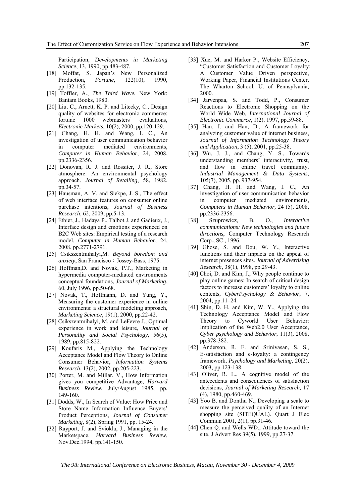Participation, *Developments in Marketing Science*, 13, 1990, pp.483-487.

- [18] Moffat, S. Japan's New Personalized Production, *Fortune*, 122(10), 1990, pp.132-135.
- [19] Toffler, A., *The Third Wave.* New York: Bantam Books, 1980.
- [20] Liu, C., Arnett, K. P. and Litecky, C., Design quality of websites for electronic commerce: fortune 1000 webmasters' evaluations, *Electronic Markets*, 10(2), 2000, pp.120-129.
- [21] Chang, H. H. and Wang, I. C., An investigation of user communication behavior in computer mediated environments, *Computer in Human Behavior*, 24, 2008, pp.2336-2356.
- [22] Donovan, R. J. and Rossiter, J. R., Store atmosphere: An environmental psychology approach. *Journal of Retailing*, 58, 1982, pp.34-57.
- [23] Hausman, A. V. and Siekpe, J. S., The effect of web interface features on consumer online purchase intentions, *Journal of Business Research*, 62, 2009, pp.5-13.
- [24] Éthier, J., Hadaya P., Talbot J. and Gadieux, J., Interface design and emotions experienced on B2C Web sites: Empirical testing of a research model, *Computer in Human Behavior*, 24, 2008, pp.2771-2791.
- [25] Csikszentmihalyi,M. *Beyond boredom and anxiety*, San Francisco: Jossey-Bass, 1975.
- [26] Hoffman, D. and Novak, P.T., Marketing in hypermedia computer-mediated environments conceptual foundations, *Journal of Marketing*, 60, July 1996, pp.50-68.
- [27] Novak, T., Hoffmann, D. and Yung, Y., Measuring the customer experience in online environments: a structural modeling approach, *Marketing Science*, 19(1), 2000, pp.22-42.
- [28] Csikszentmihalyi, M. and LeFevre J., Optimal experience in work and leisure, *Journal of Personality and Social Psychology,* 56(5), 1989, pp.815-822.
- [29] Koufaris M., Applying the Technology Acceptance Model and Flow Theory to Online Consumer Behavior, *Information Systems Research*, 13(2), 2002, pp.205-223.
- [30] Porter, M. and Millar, V., How Information gives you competitive Advantage, *Harvard Business Review*, July/August 1985, pp. 149-160.
- [31] Dodds, W., In Search of Value: How Price and Store Name Information Influence Buyers' Product Perceptions, *Journal of Consumer Marketing*, 8(2), Spring 1991, pp. 15-24.
- [32] Rayport, J. and Sviokla, J., Managing in the Marketspace, *Harvard Business Review*, Nov.Dec.1994, pp.141-150.
- [33] Xue, M. and Harker P., Website Efficiency, "Customer Satisfaction and Customer Loyalty: A Customer Value Driven perspective, Working Paper, Financial Institutions Center, The Wharton School, U. of Pennsylvania, 2000.
- [34] Jarvenpaa, S. and Todd, P., Consumer Reactions to Electronic Shopping on the World Wide Web, *International Journal of Electronic Commerce*, 1(2), 1997, pp.59-88.
- [35] Han, J. and Han, D., A framework for analyzing customer value of internet business, *Journal of Information Technology Theory and Application*, 3 (5), 2001, pp.25-38.
- [36] Wu, J. J., and Chang, Y. S., Towards understanding members' interactivity, trust, and flow in online travel community. *Industrial Management & Data Systems*, 105(7), 2005, pp. 937-954.
- [37] Chang, H. H. and Wang, I. C., An investigation of user communication behavior in computer mediated environments, *Computers in Human Behavior,* 24 (5), 2008, pp.2336-2356.
- [38] Szuprowicz, B. O., *Interactive communications: New technologies and future directions*, Computer Technology Research Corp., SC., 1996.
- [39] Ghose, S. and Dou, W. Y., Interactive functions and their impacts on the appeal of internet presences sites. *Journal of Advertising Research*, 38(1), 1998, pp.29-43.
- [40] Choi, D. and Kim, J., Why people continue to play online games: In search of critical design factors to increase customers' loyalty to online contents, *CyberPsychology & Behavior*, 7, 2004, pp.11–24.
- [41] Shin, D. H, and Kim, W. Y., Applying the Technology Acceptance Model and Flow Theory to Cyworld User Behavior: Implication of the Web2.0 User Acceptance, *Cyber psychology and Behavior*, 11(3), 2008, pp.378-382.
- [42] Anderson, R. E. and Srinivasan, S. S., E-satisfaction and e-loyalty: a contingency framework, *Psychology and Marketing,* 20(2), 2003, pp.123-138.
- [43] Oliver, R. L., A cognitive model of the antecedents and consequences of satisfaction decisions, *Journal of Marketing Research,* 17 (4), 1980, pp.460-469.
- [43] Yoo B. and Donthu N., Developing a scale to measure the perceived quality of an Internet shopping site (SITEQUAL). Quart J Elec Commun 2001, 2(1), pp.31-46.
- [44] Chen Q. and Wells WD., Attitude toward the site. J Advert Res 39(5), 1999, pp.27-37.

*The 9th International Conference on Electronic Business, Macau, November 30 - December 4, 2009*